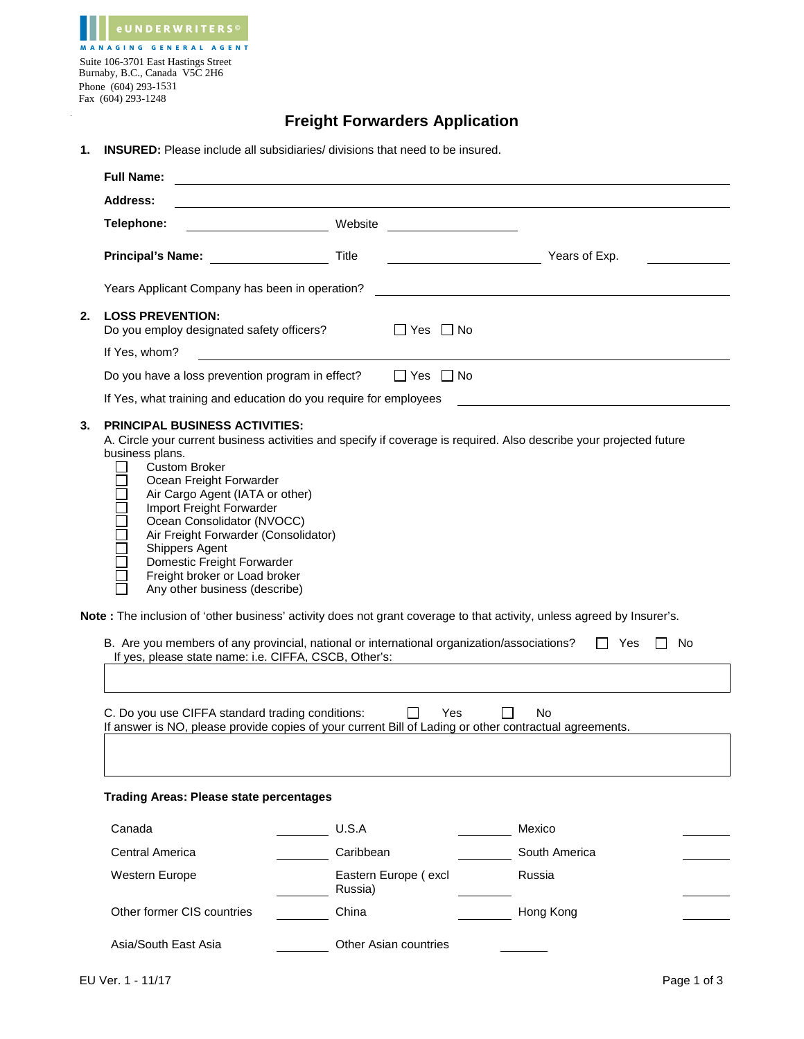| <b>eUNDERWRITERS</b> <sup>©</sup>                                    |
|----------------------------------------------------------------------|
| <b>MANAGING GENERAL AGENT</b>                                        |
| Suite 106-3701 East Hastings Street<br>Burnaby, B.C., Canada V5C 2H6 |
| Phone (604) 293-1531                                                 |
| Fax (604) 293-1248                                                   |
|                                                                      |

## **Freight Forwarders Application**

**1. INSURED:** Please include all subsidiaries/ divisions that need to be insured.

|                                                                                                                                                                                                                                                                                                                                                                                                                                                                                                                                                                                                                                                                                                                                                                                                                                                                                                                                                                                              | <b>Full Name:</b>                                                    | <u> 1989 - Johann Barbara, marka a shekara tsa 1989 - An tsa 1989 - An tsa 1989 - An tsa 1989 - An tsa 1989 - An</u> |                       |                                                                                                                      |               |  |  |  |  |
|----------------------------------------------------------------------------------------------------------------------------------------------------------------------------------------------------------------------------------------------------------------------------------------------------------------------------------------------------------------------------------------------------------------------------------------------------------------------------------------------------------------------------------------------------------------------------------------------------------------------------------------------------------------------------------------------------------------------------------------------------------------------------------------------------------------------------------------------------------------------------------------------------------------------------------------------------------------------------------------------|----------------------------------------------------------------------|----------------------------------------------------------------------------------------------------------------------|-----------------------|----------------------------------------------------------------------------------------------------------------------|---------------|--|--|--|--|
|                                                                                                                                                                                                                                                                                                                                                                                                                                                                                                                                                                                                                                                                                                                                                                                                                                                                                                                                                                                              | <b>Address:</b>                                                      |                                                                                                                      |                       |                                                                                                                      |               |  |  |  |  |
|                                                                                                                                                                                                                                                                                                                                                                                                                                                                                                                                                                                                                                                                                                                                                                                                                                                                                                                                                                                              | Telephone:                                                           | Website                                                                                                              |                       | <u> 1990 - Jan Stein Stein Stein Stein Stein Stein Stein Stein Stein Stein Stein Stein Stein Stein Stein Stein S</u> |               |  |  |  |  |
|                                                                                                                                                                                                                                                                                                                                                                                                                                                                                                                                                                                                                                                                                                                                                                                                                                                                                                                                                                                              | <b>Principal's Name:</b>                                             | Title                                                                                                                |                       |                                                                                                                      | Years of Exp. |  |  |  |  |
|                                                                                                                                                                                                                                                                                                                                                                                                                                                                                                                                                                                                                                                                                                                                                                                                                                                                                                                                                                                              | Years Applicant Company has been in operation?                       |                                                                                                                      |                       |                                                                                                                      |               |  |  |  |  |
| 2.                                                                                                                                                                                                                                                                                                                                                                                                                                                                                                                                                                                                                                                                                                                                                                                                                                                                                                                                                                                           | <b>LOSS PREVENTION:</b><br>Do you employ designated safety officers? |                                                                                                                      | $\Box$ Yes $\Box$ No  |                                                                                                                      |               |  |  |  |  |
|                                                                                                                                                                                                                                                                                                                                                                                                                                                                                                                                                                                                                                                                                                                                                                                                                                                                                                                                                                                              | If Yes, whom?                                                        |                                                                                                                      |                       |                                                                                                                      |               |  |  |  |  |
|                                                                                                                                                                                                                                                                                                                                                                                                                                                                                                                                                                                                                                                                                                                                                                                                                                                                                                                                                                                              | Do you have a loss prevention program in effect?                     |                                                                                                                      | $\Box$ Yes $\Box$ No  |                                                                                                                      |               |  |  |  |  |
|                                                                                                                                                                                                                                                                                                                                                                                                                                                                                                                                                                                                                                                                                                                                                                                                                                                                                                                                                                                              | If Yes, what training and education do you require for employees     |                                                                                                                      |                       |                                                                                                                      |               |  |  |  |  |
| 3.<br><b>PRINCIPAL BUSINESS ACTIVITIES:</b><br>A. Circle your current business activities and specify if coverage is required. Also describe your projected future<br>business plans.<br><b>Custom Broker</b><br>Ocean Freight Forwarder<br>Air Cargo Agent (IATA or other)<br>Import Freight Forwarder<br>Ocean Consolidator (NVOCC)<br>Air Freight Forwarder (Consolidator)<br>Shippers Agent<br>Domestic Freight Forwarder<br>Freight broker or Load broker<br>Any other business (describe)<br>Note: The inclusion of 'other business' activity does not grant coverage to that activity, unless agreed by Insurer's.<br>B. Are you members of any provincial, national or international organization/associations?<br>No<br>II Yes<br>If yes, please state name: i.e. CIFFA, CSCB, Other's:<br>C. Do you use CIFFA standard trading conditions:<br>Yes<br>No.<br>$\mathsf{L}$<br>If answer is NO, please provide copies of your current Bill of Lading or other contractual agreements. |                                                                      |                                                                                                                      |                       |                                                                                                                      |               |  |  |  |  |
|                                                                                                                                                                                                                                                                                                                                                                                                                                                                                                                                                                                                                                                                                                                                                                                                                                                                                                                                                                                              | <b>Trading Areas: Please state percentages</b>                       |                                                                                                                      |                       |                                                                                                                      |               |  |  |  |  |
|                                                                                                                                                                                                                                                                                                                                                                                                                                                                                                                                                                                                                                                                                                                                                                                                                                                                                                                                                                                              | Canada                                                               | U.S.A                                                                                                                |                       |                                                                                                                      | Mexico        |  |  |  |  |
|                                                                                                                                                                                                                                                                                                                                                                                                                                                                                                                                                                                                                                                                                                                                                                                                                                                                                                                                                                                              | Central America                                                      | Caribbean                                                                                                            |                       |                                                                                                                      | South America |  |  |  |  |
|                                                                                                                                                                                                                                                                                                                                                                                                                                                                                                                                                                                                                                                                                                                                                                                                                                                                                                                                                                                              | Western Europe                                                       | Russia)                                                                                                              | Eastern Europe (excl  |                                                                                                                      | Russia        |  |  |  |  |
|                                                                                                                                                                                                                                                                                                                                                                                                                                                                                                                                                                                                                                                                                                                                                                                                                                                                                                                                                                                              | Other former CIS countries                                           | China                                                                                                                |                       |                                                                                                                      | Hong Kong     |  |  |  |  |
|                                                                                                                                                                                                                                                                                                                                                                                                                                                                                                                                                                                                                                                                                                                                                                                                                                                                                                                                                                                              | Asia/South East Asia                                                 |                                                                                                                      | Other Asian countries |                                                                                                                      |               |  |  |  |  |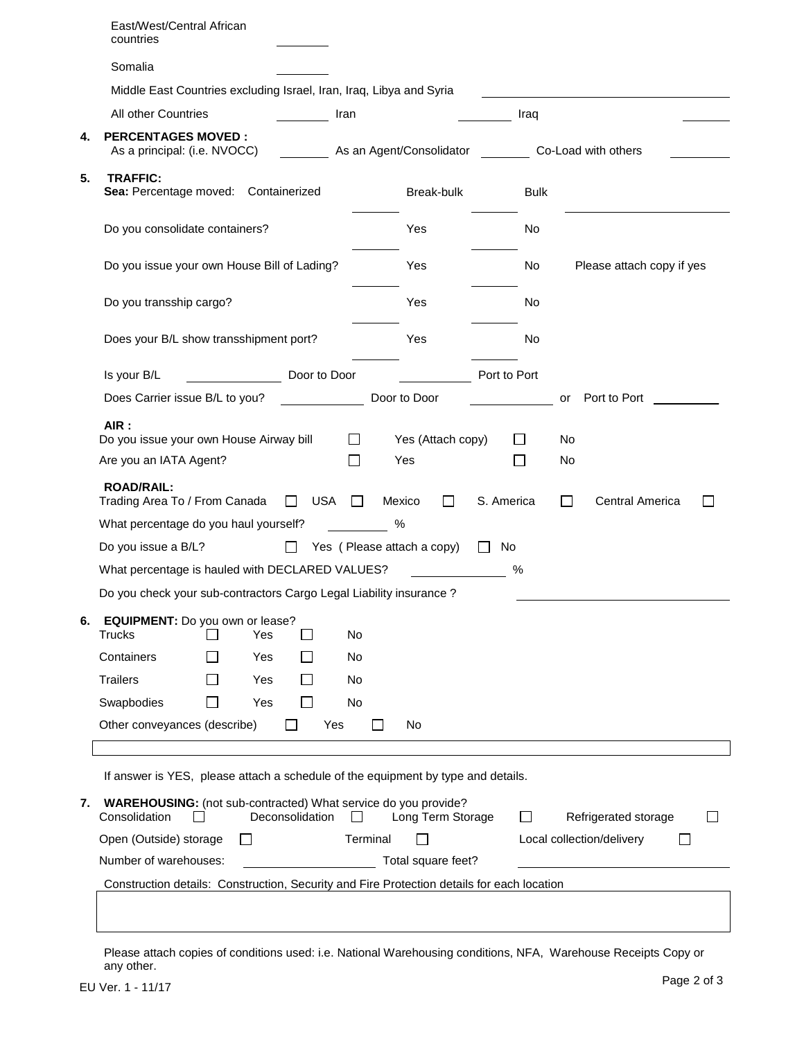|                                                                 | East/West/Central African<br>countries                                                                                                                          |  |  |  |  |  |  |
|-----------------------------------------------------------------|-----------------------------------------------------------------------------------------------------------------------------------------------------------------|--|--|--|--|--|--|
|                                                                 | Somalia                                                                                                                                                         |  |  |  |  |  |  |
|                                                                 | Middle East Countries excluding Israel, Iran, Iraq, Libya and Syria                                                                                             |  |  |  |  |  |  |
|                                                                 | All other Countries<br>Iran<br>Iraq                                                                                                                             |  |  |  |  |  |  |
| 4.                                                              | <b>PERCENTAGES MOVED:</b><br>As a principal: (i.e. NVOCC)<br>As an Agent/Consolidator<br>Co-Load with others                                                    |  |  |  |  |  |  |
| 5.                                                              | <b>TRAFFIC:</b><br>Sea: Percentage moved: Containerized<br>Break-bulk<br><b>Bulk</b>                                                                            |  |  |  |  |  |  |
|                                                                 | Do you consolidate containers?<br>Yes<br>No                                                                                                                     |  |  |  |  |  |  |
|                                                                 | Do you issue your own House Bill of Lading?<br>Yes<br>No<br>Please attach copy if yes                                                                           |  |  |  |  |  |  |
|                                                                 | Do you transship cargo?<br>Yes<br>No                                                                                                                            |  |  |  |  |  |  |
|                                                                 | Does your B/L show transshipment port?<br>Yes<br>No                                                                                                             |  |  |  |  |  |  |
|                                                                 | Door to Door<br>Port to Port<br>Is your B/L                                                                                                                     |  |  |  |  |  |  |
|                                                                 | Does Carrier issue B/L to you?<br>Door to Door<br>Port to Port<br>or                                                                                            |  |  |  |  |  |  |
|                                                                 | AIR:<br>Do you issue your own House Airway bill<br>$\mathsf{L}$<br>Yes (Attach copy)<br>No.                                                                     |  |  |  |  |  |  |
|                                                                 | $\Box$<br>Are you an IATA Agent?<br>Yes<br>No<br>$\mathbb{R}^n$                                                                                                 |  |  |  |  |  |  |
|                                                                 | <b>ROAD/RAIL:</b><br>Trading Area To / From Canada<br><b>USA</b><br>S. America<br>Central America<br>Mexico<br>$\mathsf{L}$<br>$\mathsf{L}$<br>$\perp$          |  |  |  |  |  |  |
|                                                                 | What percentage do you haul yourself?<br>%                                                                                                                      |  |  |  |  |  |  |
|                                                                 | Do you issue a B/L?<br>Yes (Please attach a copy)<br>$\Box$<br>No                                                                                               |  |  |  |  |  |  |
|                                                                 | What percentage is hauled with DECLARED VALUES?<br>%                                                                                                            |  |  |  |  |  |  |
|                                                                 | Do you check your sub-contractors Cargo Legal Liability insurance ?                                                                                             |  |  |  |  |  |  |
| 6.                                                              | EQUIPMENT: Do you own or lease?<br>Trucks<br>Yes<br>No<br>$\mathcal{L}$                                                                                         |  |  |  |  |  |  |
|                                                                 | Containers<br><b>Yes</b><br>No                                                                                                                                  |  |  |  |  |  |  |
|                                                                 | <b>Trailers</b><br>Yes<br>No                                                                                                                                    |  |  |  |  |  |  |
|                                                                 | Swapbodies<br>Yes<br>No<br>$\Box$                                                                                                                               |  |  |  |  |  |  |
|                                                                 | Other conveyances (describe)<br>Yes<br>No<br>$\Box$<br>$\mathbf{I}$                                                                                             |  |  |  |  |  |  |
|                                                                 |                                                                                                                                                                 |  |  |  |  |  |  |
|                                                                 | If answer is YES, please attach a schedule of the equipment by type and details.                                                                                |  |  |  |  |  |  |
| 7.                                                              | WAREHOUSING: (not sub-contracted) What service do you provide?<br>Consolidation<br>Deconsolidation<br>Long Term Storage<br>Refrigerated storage<br>$\mathsf{L}$ |  |  |  |  |  |  |
| Open (Outside) storage<br>Terminal<br>Local collection/delivery |                                                                                                                                                                 |  |  |  |  |  |  |
|                                                                 | Number of warehouses:<br>Total square feet?                                                                                                                     |  |  |  |  |  |  |
|                                                                 | Construction details: Construction, Security and Fire Protection details for each location                                                                      |  |  |  |  |  |  |
|                                                                 |                                                                                                                                                                 |  |  |  |  |  |  |

Please attach copies of conditions used: i.e. National Warehousing conditions, NFA, Warehouse Receipts Copy or any other.